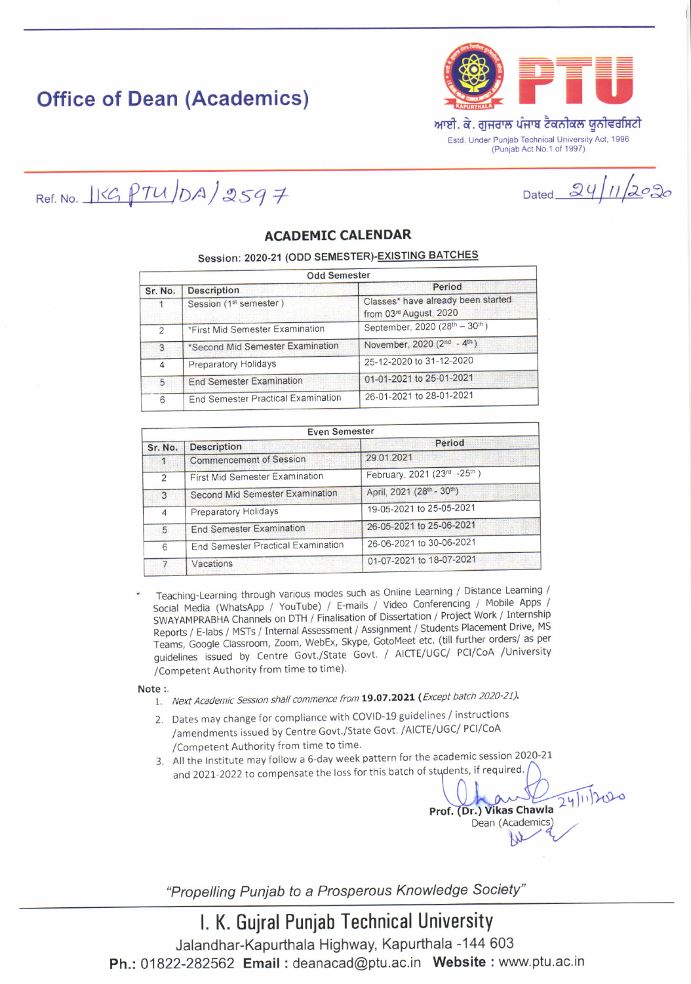# **Office of Dean (Academics)**



Dated  $24/11/2020$ 

Ref. No.  $1KGPTU/DA/2597$ 

### **ACADEMIC CALENDAR**

### Session: 2020-21 (ODD SEMESTER)-EXISTING BATCHES

| <b>Odd Semester</b> |                                    |                                                              |  |  |
|---------------------|------------------------------------|--------------------------------------------------------------|--|--|
| Sr. No.             | <b>Description</b>                 | Period                                                       |  |  |
|                     | Session (1 <sup>st</sup> semester) | Classes* have already been started<br>from 03rd August, 2020 |  |  |
| $\overline{2}$      | *First Mid Semester Examination    | September, 2020 (28th - 30th)                                |  |  |
| 3                   | *Second Mid Semester Examination   | November, 2020 (2 <sup>nd</sup> - 4 <sup>th</sup> )          |  |  |
| $\overline{4}$      | <b>Preparatory Holidays</b>        | 25-12-2020 to 31-12-2020                                     |  |  |
| 5                   | <b>End Semester Examination</b>    | 01-01-2021 to 25-01-2021                                     |  |  |
| 6                   | End Semester Practical Examination | 26-01-2021 to 28-01-2021                                     |  |  |

| <b>Even Semester</b> |                                    |                             |  |  |
|----------------------|------------------------------------|-----------------------------|--|--|
| Sr. No.              | <b>Description</b>                 | Period                      |  |  |
|                      | <b>Commencement of Session</b>     | 29.01.2021                  |  |  |
| $\overline{2}$       | First Mid Semester Examination     | February, 2021 (23rd -25th) |  |  |
| 3                    | Second Mid Semester Examination    | April, 2021 (28th - 30th)   |  |  |
| 4                    | Preparatory Holidays               | 19-05-2021 to 25-05-2021    |  |  |
| 5                    | <b>End Semester Examination</b>    | 26-05-2021 to 25-06-2021    |  |  |
| 6                    | End Semester Practical Examination | 26-06-2021 to 30-06-2021    |  |  |
| $\overline{7}$       | Vacations                          | 01-07-2021 to 18-07-2021    |  |  |

Teaching-Learning through various modes such as Online Learning / Distance Learning / Social Media (WhatsApp / YouTube) / E-mails / Video Conferencing / Mobile Apps / SWAYAMPRABHA Channels on DTH / Finalisation of Dissertation / Project Work / Internship Reports / E-labs / MSTs / Internal Assessment / Assignment / Students Placement Drive, MS Teams, Google Classroom, Zoom, WebEx, Skype, GotoMeet etc. (till further orders/ as per guidelines issued by Centre Govt./State Govt. / AICTE/UGC/ PCI/CoA /University /Competent Authority from time to time).

Note:

- 1. Next Academic Session shall commence from 19.07.2021 (Except batch 2020-21).
- 2. Dates may change for compliance with COVID-19 guidelines / instructions /amendments issued by Centre Govt./State Govt. /AICTE/UGC/ PCI/CoA /Competent Authority from time to time.
- 3. All the Institute may follow a 6-day week pattern for the academic session 2020-21 and 2021-2022 to compensate the loss for this batch of students, if required.

 $24112020$ Prof. (Dr.) Vikas Chawla Dean (Academics)

"Propelling Punjab to a Prosperous Knowledge Society"

## I. K. Gujral Punjab Technical University

Jalandhar-Kapurthala Highway, Kapurthala -144 603 Ph.: 01822-282562 Email: deanacad@ptu.ac.in Website: www.ptu.ac.in